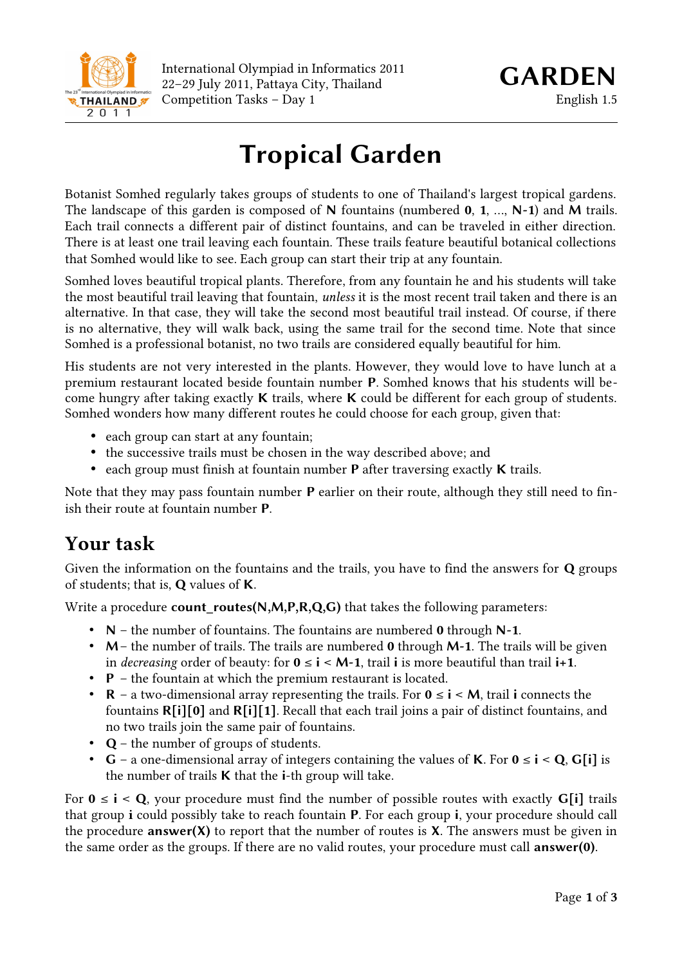

# **Tropical Garden**

Botanist Somhed regularly takes groups of students to one of Thailand's largest tropical gardens. The landscape of this garden is composed of **N** fountains (numbered **0**, **1**, …, **N-1**) and **M** trails. Each trail connects a different pair of distinct fountains, and can be traveled in either direction. There is at least one trail leaving each fountain. These trails feature beautiful botanical collections that Somhed would like to see. Each group can start their trip at any fountain.

Somhed loves beautiful tropical plants. Therefore, from any fountain he and his students will take the most beautiful trail leaving that fountain, *unless* it is the most recent trail taken and there is an alternative. In that case, they will take the second most beautiful trail instead. Of course, if there is no alternative, they will walk back, using the same trail for the second time. Note that since Somhed is a professional botanist, no two trails are considered equally beautiful for him.

His students are not very interested in the plants. However, they would love to have lunch at a premium restaurant located beside fountain number **P**. Somhed knows that his students will become hungry after taking exactly **K** trails, where **K** could be different for each group of students. Somhed wonders how many different routes he could choose for each group, given that:

- each group can start at any fountain;
- the successive trails must be chosen in the way described above; and
- each group must finish at fountain number **P** after traversing exactly **K** trails.

Note that they may pass fountain number **P** earlier on their route, although they still need to finish their route at fountain number **P**.

### **Your task**

Given the information on the fountains and the trails, you have to find the answers for **Q** groups of students; that is, **Q** values of **K**.

Write a procedure **count\_routes(N,M,P,R,Q,G)** that takes the following parameters:

- **N** the number of fountains. The fountains are numbered **0** through **N-1**.
- **M** the number of trails. The trails are numbered **0** through **M-1**. The trails will be given in *decreasing* order of beauty: for  $0 \le i \le M-1$ , trail **i** is more beautiful than trail  $i+1$ .
- **P** the fountain at which the premium restaurant is located.
- **R** a two-dimensional array representing the trails. For **0** ≤ **i** < **M**, trail **i** connects the fountains **R[i][0]** and **R[i][1]**. Recall that each trail joins a pair of distinct fountains, and no two trails join the same pair of fountains.
- **Q** the number of groups of students.
- **G** a one-dimensional array of integers containing the values of **K**. For  $0 \le i \le Q$ , **G**[i] is the number of trails **K** that the **i**-th group will take.

For  $0 \le i \le Q$ , your procedure must find the number of possible routes with exactly  $G[i]$  trails that group **i** could possibly take to reach fountain **P**. For each group **i**, your procedure should call the procedure **answer(X)** to report that the number of routes is **X**. The answers must be given in the same order as the groups. If there are no valid routes, your procedure must call **answer(0)**.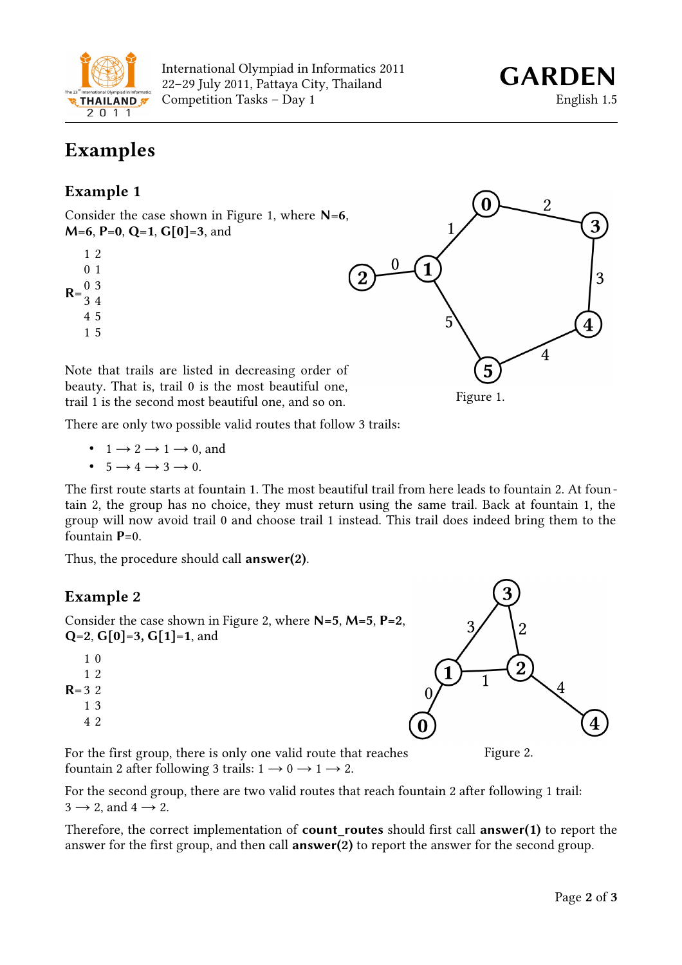

International Olympiad in Informatics 2011 22–29 July 2011, Pattaya City, Thailand *GARDEN* Competition Tasks – Day 1 English 1.5

### **Examples**

#### **Example 1**

Consider the case shown in Figure 1, where **N=6**, **M=6**, **P=0**, **Q=1**, **G[0]=3**, and

- $R = \frac{0}{24}$ 1 2 0 1 3 4 4 5
	- 1 5

 $\bf{0}$  $\overline{2}$  $\Omega$ 1 3 5  $\overline{4}$ 5 Figure 1.

Note that trails are listed in decreasing order of beauty. That is, trail 0 is the most beautiful one, trail 1 is the second most beautiful one, and so on.

There are only two possible valid routes that follow 3 trails:

- $1 \rightarrow 2 \rightarrow 1 \rightarrow 0$ , and
- $5 \rightarrow 4 \rightarrow 3 \rightarrow 0$ .

The first route starts at fountain 1. The most beautiful trail from here leads to fountain 2. At fountain 2, the group has no choice, they must return using the same trail. Back at fountain 1, the group will now avoid trail 0 and choose trail 1 instead. This trail does indeed bring them to the fountain  $P=0$ .

Thus, the procedure should call **answer(2)**.

### **Example 2**

Consider the case shown in Figure 2, where **N=5**, **M=5**, **P=2**, **Q=2**, **G[0]=3, G[1]=1**, and



For the first group, there is only one valid route that reaches fountain 2 after following 3 trails:  $1 \rightarrow 0 \rightarrow 1 \rightarrow 2$ .

For the second group, there are two valid routes that reach fountain 2 after following 1 trail:  $3 \rightarrow 2$ , and  $4 \rightarrow 2$ .

Therefore, the correct implementation of **count\_routes** should first call **answer(1)** to report the answer for the first group, and then call **answer(2)** to report the answer for the second group.